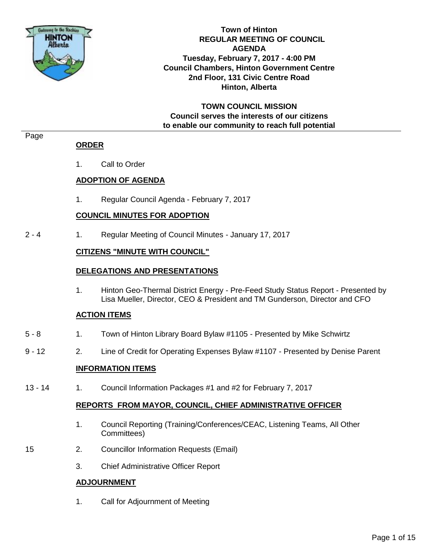

**Town of Hinton REGULAR MEETING OF COUNCIL AGENDA Tuesday, February 7, 2017 - 4:00 PM Council Chambers, Hinton Government Centre 2nd Floor, 131 Civic Centre Road Hinton, Alberta**

**TOWN COUNCIL MISSION Council serves the interests of our citizens to enable our community to reach full potential**

#### Page

#### **ORDER**

1. Call to Order

# **ADOPTION OF AGENDA**

1. Regular Council Agenda - February 7, 2017

# **COUNCIL MINUTES FOR ADOPTION**

2 - 4 1. Regular Meeting of Council Minutes - January 17, 2017

### **CITIZENS "MINUTE WITH COUNCIL"**

#### **DELEGATIONS AND PRESENTATIONS**

1. Hinton Geo-Thermal District Energy - Pre-Feed Study Status Report - Presented by Lisa Mueller, Director, CEO & President and TM Gunderson, Director and CFO

#### **ACTION ITEMS**

- 5 8 1. Town of Hinton Library Board Bylaw #1105 Presented by Mike Schwirtz
- 9 12 2. Line of Credit for Operating Expenses Bylaw #1107 Presented by Denise Parent

#### **INFORMATION ITEMS**

13 - 14 1. Council Information Packages #1 and #2 for February 7, 2017

#### **REPORTS FROM MAYOR, COUNCIL, CHIEF ADMINISTRATIVE OFFICER**

- 1. Council Reporting (Training/Conferences/CEAC, Listening Teams, All Other Committees)
- 15 2. Councillor Information Requests (Email)
	- 3. Chief Administrative Officer Report

#### **ADJOURNMENT**

1. Call for Adjournment of Meeting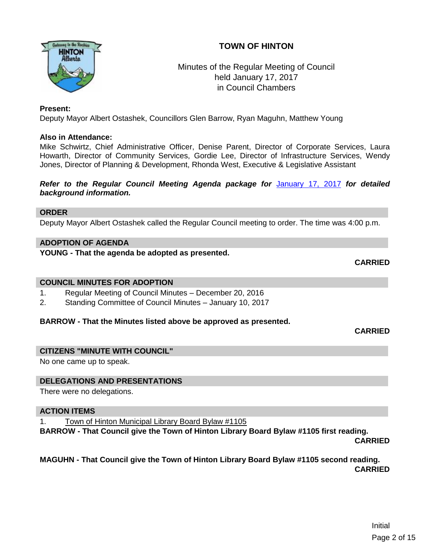# **TOWN OF HINTON**



# Minutes of the Regular Meeting of Council held January 17, 2017 in Council Chambers

#### **Present:**

Deputy Mayor Albert Ostashek, Councillors Glen Barrow, Ryan Maguhn, Matthew Young

### **Also in Attendance:**

Mike Schwirtz, Chief Administrative Officer, Denise Parent, Director of Corporate Services, Laura Howarth, Director of Community Services, Gordie Lee, Director of Infrastructure Services, Wendy Jones, Director of Planning & Development, Rhonda West, Executive & Legislative Assistant

#### *Refer to the Regular Council Meeting Agenda package for* [January 17, 2017](http://www.hinton.ca/ArchiveCenter/ViewFile/Item/1932) *for detailed background information.*

#### **ORDER**

Deputy Mayor Albert Ostashek called the Regular Council meeting to order. The time was 4:00 p.m.

### **ADOPTION OF AGENDA**

**YOUNG - That the agenda be adopted as presented.**

**CARRIED**

#### **COUNCIL MINUTES FOR ADOPTION**

- 1. Regular Meeting of Council Minutes December 20, 2016
- 2. Standing Committee of Council Minutes January 10, 2017

#### **BARROW - That the Minutes listed above be approved as presented.**

**CARRIED**

#### **CITIZENS "MINUTE WITH COUNCIL"**

No one came up to speak.

#### **DELEGATIONS AND PRESENTATIONS**

There were no delegations.

#### **ACTION ITEMS**

1. Town of Hinton Municipal Library Board Bylaw #1105

**BARROW - That Council give the Town of Hinton Library Board Bylaw #1105 first reading.**

**CARRIED**

### **MAGUHN - That Council give the Town of Hinton Library Board Bylaw #1105 second reading. CARRIED**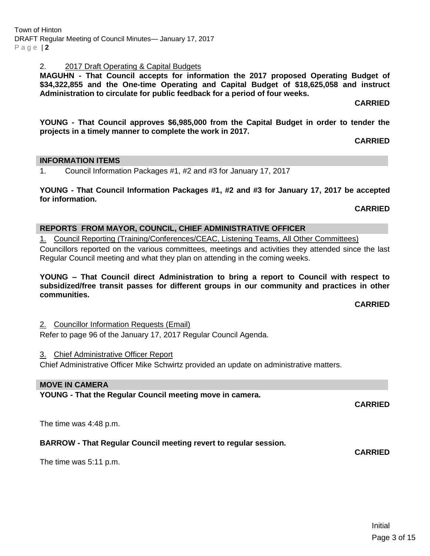# 2. 2017 Draft Operating & Capital Budgets

**MAGUHN - That Council accepts for information the 2017 proposed Operating Budget of \$34,322,855 and the One-time Operating and Capital Budget of \$18,625,058 and instruct Administration to circulate for public feedback for a period of four weeks.**

**CARRIED**

**YOUNG - That Council approves \$6,985,000 from the Capital Budget in order to tender the projects in a timely manner to complete the work in 2017.**

**CARRIED**

# **INFORMATION ITEMS**

1. Council Information Packages #1, #2 and #3 for January 17, 2017

**YOUNG - That Council Information Packages #1, #2 and #3 for January 17, 2017 be accepted for information.**

**CARRIED**

# **REPORTS FROM MAYOR, COUNCIL, CHIEF ADMINISTRATIVE OFFICER**

1. Council Reporting (Training/Conferences/CEAC, Listening Teams, All Other Committees) Councillors reported on the various committees, meetings and activities they attended since the last Regular Council meeting and what they plan on attending in the coming weeks.

**YOUNG – That Council direct Administration to bring a report to Council with respect to subsidized/free transit passes for different groups in our community and practices in other communities.**

# **CARRIED**

2. Councillor Information Requests (Email) Refer to page 96 of the January 17, 2017 Regular Council Agenda.

# 3. Chief Administrative Officer Report

Chief Administrative Officer Mike Schwirtz provided an update on administrative matters.

# **MOVE IN CAMERA**

**YOUNG - That the Regular Council meeting move in camera.**

The time was 4:48 p.m.

# **BARROW - That Regular Council meeting revert to regular session.**

The time was 5:11 p.m.

**CARRIED**

**CARRIED**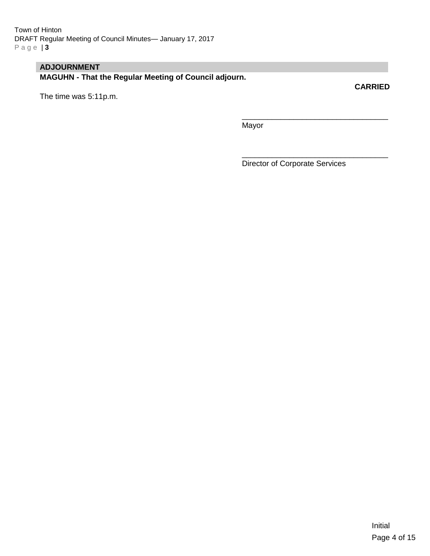# **ADJOURNMENT**

**MAGUHN - That the Regular Meeting of Council adjourn.**

The time was 5:11p.m.

\_\_\_\_\_\_\_\_\_\_\_\_\_\_\_\_\_\_\_\_\_\_\_\_\_\_\_\_\_\_\_\_\_\_ Mayor

Director of Corporate Services

\_\_\_\_\_\_\_\_\_\_\_\_\_\_\_\_\_\_\_\_\_\_\_\_\_\_\_\_\_\_\_\_\_\_

**CARRIED**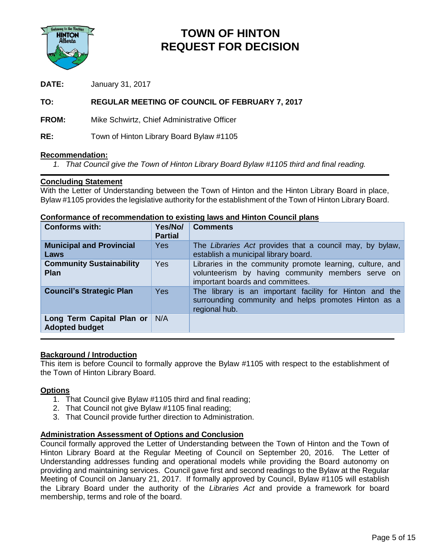

# **TOWN OF HINTON REQUEST FOR DECISION**

**DATE:** January 31, 2017

# **TO: REGULAR MEETING OF COUNCIL OF FEBRUARY 7, 2017**

**FROM:** Mike Schwirtz, Chief Administrative Officer

**RE:** Town of Hinton Library Board Bylaw #1105

#### **Recommendation:**

*1. That Council give the Town of Hinton Library Board Bylaw #1105 third and final reading.*

#### **Concluding Statement**

With the Letter of Understanding between the Town of Hinton and the Hinton Library Board in place, Bylaw #1105 provides the legislative authority for the establishment of the Town of Hinton Library Board.

| <b>Conforms with:</b>                              | Yes/No/<br><b>Partial</b> | <b>Comments</b>                                                                                                                                    |
|----------------------------------------------------|---------------------------|----------------------------------------------------------------------------------------------------------------------------------------------------|
| <b>Municipal and Provincial</b><br>Laws            | Yes                       | The Libraries Act provides that a council may, by bylaw,<br>establish a municipal library board.                                                   |
| <b>Community Sustainability</b><br><b>Plan</b>     | <b>Yes</b>                | Libraries in the community promote learning, culture, and<br>volunteerism by having community members serve on<br>important boards and committees. |
| <b>Council's Strategic Plan</b>                    | <b>Yes</b>                | The library is an important facility for Hinton and the<br>surrounding community and helps promotes Hinton as a<br>regional hub.                   |
| Long Term Capital Plan or<br><b>Adopted budget</b> | N/A                       |                                                                                                                                                    |

#### **Conformance of recommendation to existing laws and Hinton Council plans**

#### **Background / Introduction**

This item is before Council to formally approve the Bylaw #1105 with respect to the establishment of the Town of Hinton Library Board.

#### **Options**

- 1. That Council give Bylaw #1105 third and final reading;
- 2. That Council not give Bylaw #1105 final reading;
- 3. That Council provide further direction to Administration.

#### **Administration Assessment of Options and Conclusion**

Council formally approved the Letter of Understanding between the Town of Hinton and the Town of Hinton Library Board at the Regular Meeting of Council on September 20, 2016. The Letter of Understanding addresses funding and operational models while providing the Board autonomy on providing and maintaining services. Council gave first and second readings to the Bylaw at the Regular Meeting of Council on January 21, 2017. If formally approved by Council, Bylaw #1105 will establish the Library Board under the authority of the *Libraries Act* and provide a framework for board membership, terms and role of the board.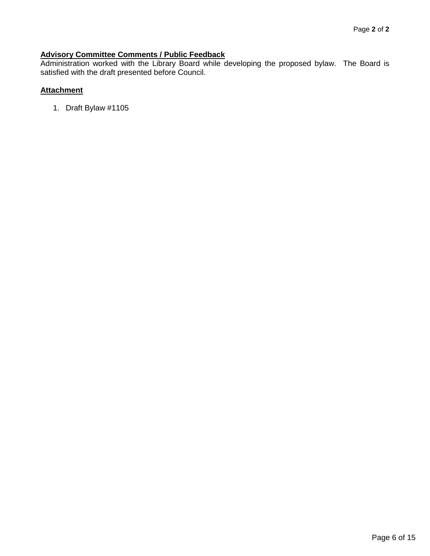### **Advisory Committee Comments / Public Feedback**

Administration worked with the Library Board while developing the proposed bylaw. The Board is satisfied with the draft presented before Council.

# **Attachment**

1. Draft Bylaw #1105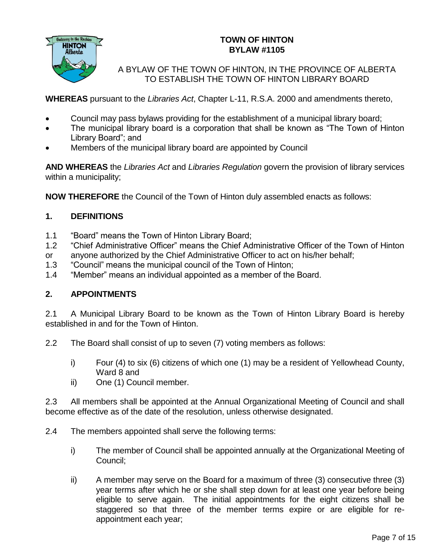

# **TOWN OF HINTON BYLAW #1105**

A BYLAW OF THE TOWN OF HINTON, IN THE PROVINCE OF ALBERTA TO ESTABLISH THE TOWN OF HINTON LIBRARY BOARD

**WHEREAS** pursuant to the *Libraries Act*, Chapter L-11, R.S.A. 2000 and amendments thereto,

- Council may pass bylaws providing for the establishment of a municipal library board;
- The municipal library board is a corporation that shall be known as "The Town of Hinton Library Board"; and
- Members of the municipal library board are appointed by Council

**AND WHEREAS** the *Libraries Act* and *Libraries Regulation* govern the provision of library services within a municipality;

**NOW THEREFORE** the Council of the Town of Hinton duly assembled enacts as follows:

# **1. DEFINITIONS**

- 1.1 "Board" means the Town of Hinton Library Board;
- 1.2 "Chief Administrative Officer" means the Chief Administrative Officer of the Town of Hinton
- or anyone authorized by the Chief Administrative Officer to act on his/her behalf;
- 1.3 "Council" means the municipal council of the Town of Hinton;
- 1.4 "Member" means an individual appointed as a member of the Board.

# **2. APPOINTMENTS**

2.1 A Municipal Library Board to be known as the Town of Hinton Library Board is hereby established in and for the Town of Hinton.

2.2 The Board shall consist of up to seven (7) voting members as follows:

- i) Four (4) to six (6) citizens of which one (1) may be a resident of Yellowhead County, Ward 8 and
- ii) One (1) Council member.

2.3 All members shall be appointed at the Annual Organizational Meeting of Council and shall become effective as of the date of the resolution, unless otherwise designated.

- 2.4 The members appointed shall serve the following terms:
	- i) The member of Council shall be appointed annually at the Organizational Meeting of Council;
	- ii) A member may serve on the Board for a maximum of three (3) consecutive three (3) year terms after which he or she shall step down for at least one year before being eligible to serve again. The initial appointments for the eight citizens shall be staggered so that three of the member terms expire or are eligible for reappointment each year;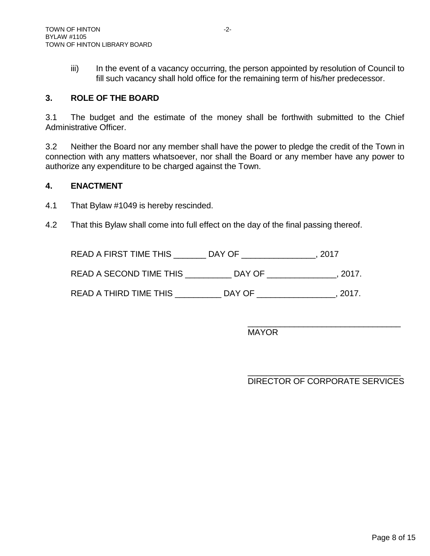iii) In the event of a vacancy occurring, the person appointed by resolution of Council to fill such vacancy shall hold office for the remaining term of his/her predecessor.

# **3. ROLE OF THE BOARD**

3.1 The budget and the estimate of the money shall be forthwith submitted to the Chief Administrative Officer.

3.2 Neither the Board nor any member shall have the power to pledge the credit of the Town in connection with any matters whatsoever, nor shall the Board or any member have any power to authorize any expenditure to be charged against the Town.

# **4. ENACTMENT**

4.1 That Bylaw #1049 is hereby rescinded.

4.2 That this Bylaw shall come into full effect on the day of the final passing thereof.

READ A FIRST TIME THIS \_\_\_\_\_\_\_ DAY OF \_\_\_\_\_\_\_\_\_\_\_\_\_\_\_\_, 2017

READ A SECOND TIME THIS \_\_\_\_\_\_\_\_\_\_ DAY OF \_\_\_\_\_\_\_\_\_\_\_\_\_\_\_, 2017.

READ A THIRD TIME THIS **EXECUTE THIS READ A THIRD TIME THIS** 

MAYOR

\_\_\_\_\_\_\_\_\_\_\_\_\_\_\_\_\_\_\_\_\_\_\_\_\_\_\_\_\_\_\_\_\_ DIRECTOR OF CORPORATE SERVICES

\_\_\_\_\_\_\_\_\_\_\_\_\_\_\_\_\_\_\_\_\_\_\_\_\_\_\_\_\_\_\_\_\_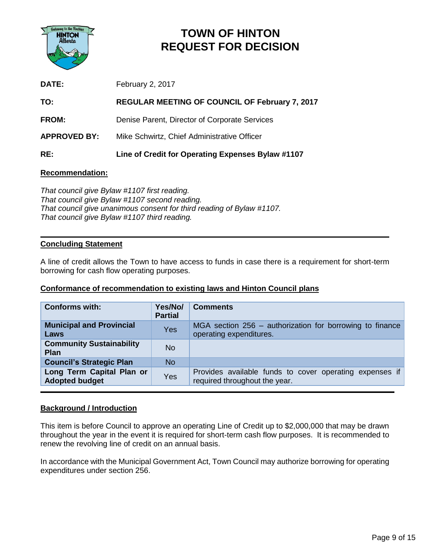

# **TOWN OF HINTON REQUEST FOR DECISION**

| <b>DATE:</b>        | February 2, 2017                                      |
|---------------------|-------------------------------------------------------|
| TO:                 | <b>REGULAR MEETING OF COUNCIL OF February 7, 2017</b> |
| <b>FROM:</b>        | Denise Parent, Director of Corporate Services         |
| <b>APPROVED BY:</b> | Mike Schwirtz, Chief Administrative Officer           |
| RE:                 | Line of Credit for Operating Expenses Bylaw #1107     |

#### **Recommendation:**

*That council give Bylaw #1107 first reading. That council give Bylaw #1107 second reading. That council give unanimous consent for third reading of Bylaw #1107. That council give Bylaw #1107 third reading.*

#### **Concluding Statement**

A line of credit allows the Town to have access to funds in case there is a requirement for short-term borrowing for cash flow operating purposes.

#### **Conformance of recommendation to existing laws and Hinton Council plans**

| <b>Conforms with:</b>                              | Yes/No/<br><b>Partial</b> | <b>Comments</b>                                                                          |
|----------------------------------------------------|---------------------------|------------------------------------------------------------------------------------------|
| <b>Municipal and Provincial</b><br>Laws            | Yes                       | MGA section 256 - authorization for borrowing to finance<br>operating expenditures.      |
| <b>Community Sustainability</b><br><b>Plan</b>     | <b>No</b>                 |                                                                                          |
| <b>Council's Strategic Plan</b>                    | <b>No</b>                 |                                                                                          |
| Long Term Capital Plan or<br><b>Adopted budget</b> | Yes                       | Provides available funds to cover operating expenses if<br>required throughout the year. |

#### **Background / Introduction**

This item is before Council to approve an operating Line of Credit up to \$2,000,000 that may be drawn throughout the year in the event it is required for short-term cash flow purposes. It is recommended to renew the revolving line of credit on an annual basis.

In accordance with the Municipal Government Act, Town Council may authorize borrowing for operating expenditures under section 256.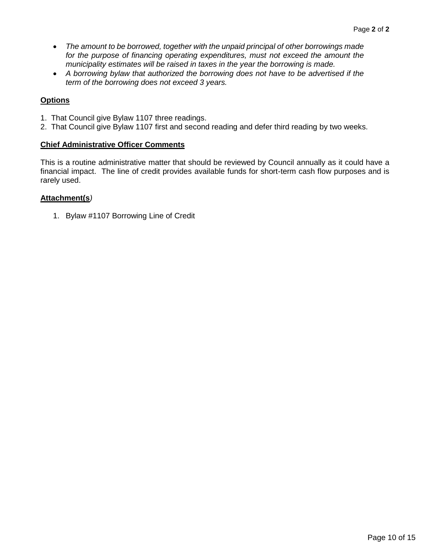- *The amount to be borrowed, together with the unpaid principal of other borrowings made*  for the purpose of financing operating expenditures, must not exceed the amount the *municipality estimates will be raised in taxes in the year the borrowing is made.*
- *A borrowing bylaw that authorized the borrowing does not have to be advertised if the term of the borrowing does not exceed 3 years.*

# **Options**

- 1. That Council give Bylaw 1107 three readings.
- 2. That Council give Bylaw 1107 first and second reading and defer third reading by two weeks.

# **Chief Administrative Officer Comments**

This is a routine administrative matter that should be reviewed by Council annually as it could have a financial impact. The line of credit provides available funds for short-term cash flow purposes and is rarely used.

### **Attachment(s***)*

1. Bylaw #1107 Borrowing Line of Credit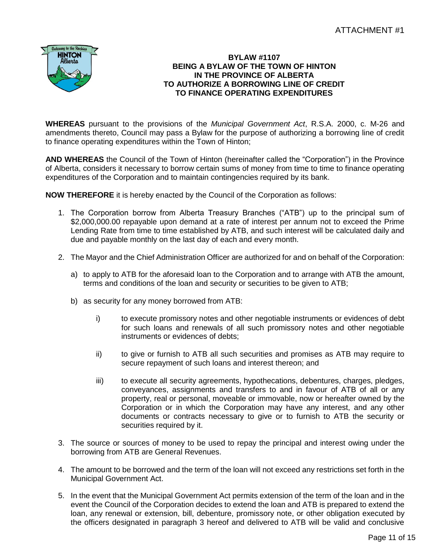

#### **BYLAW #1107 BEING A BYLAW OF THE TOWN OF HINTON IN THE PROVINCE OF ALBERTA TO AUTHORIZE A BORROWING LINE OF CREDIT TO FINANCE OPERATING EXPENDITURES**

**WHEREAS** pursuant to the provisions of the *Municipal Government Act*, R.S.A. 2000, c. M-26 and amendments thereto, Council may pass a Bylaw for the purpose of authorizing a borrowing line of credit to finance operating expenditures within the Town of Hinton;

**AND WHEREAS** the Council of the Town of Hinton (hereinafter called the "Corporation") in the Province of Alberta, considers it necessary to borrow certain sums of money from time to time to finance operating expenditures of the Corporation and to maintain contingencies required by its bank.

**NOW THEREFORE** it is hereby enacted by the Council of the Corporation as follows:

- 1. The Corporation borrow from Alberta Treasury Branches ("ATB") up to the principal sum of \$2,000,000.00 repayable upon demand at a rate of interest per annum not to exceed the Prime Lending Rate from time to time established by ATB, and such interest will be calculated daily and due and payable monthly on the last day of each and every month.
- 2. The Mayor and the Chief Administration Officer are authorized for and on behalf of the Corporation:
	- a) to apply to ATB for the aforesaid loan to the Corporation and to arrange with ATB the amount, terms and conditions of the loan and security or securities to be given to ATB;
	- b) as security for any money borrowed from ATB:
		- i) to execute promissory notes and other negotiable instruments or evidences of debt for such loans and renewals of all such promissory notes and other negotiable instruments or evidences of debts;
		- ii) to give or furnish to ATB all such securities and promises as ATB may require to secure repayment of such loans and interest thereon; and
		- iii) to execute all security agreements, hypothecations, debentures, charges, pledges, conveyances, assignments and transfers to and in favour of ATB of all or any property, real or personal, moveable or immovable, now or hereafter owned by the Corporation or in which the Corporation may have any interest, and any other documents or contracts necessary to give or to furnish to ATB the security or securities required by it.
- 3. The source or sources of money to be used to repay the principal and interest owing under the borrowing from ATB are General Revenues.
- 4. The amount to be borrowed and the term of the loan will not exceed any restrictions set forth in the Municipal Government Act.
- 5. In the event that the Municipal Government Act permits extension of the term of the loan and in the event the Council of the Corporation decides to extend the loan and ATB is prepared to extend the loan, any renewal or extension, bill, debenture, promissory note, or other obligation executed by the officers designated in paragraph 3 hereof and delivered to ATB will be valid and conclusive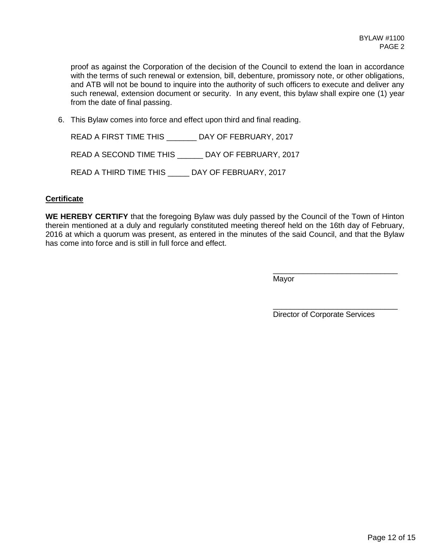proof as against the Corporation of the decision of the Council to extend the loan in accordance with the terms of such renewal or extension, bill, debenture, promissory note, or other obligations, and ATB will not be bound to inquire into the authority of such officers to execute and deliver any such renewal, extension document or security. In any event, this bylaw shall expire one (1) year from the date of final passing.

6. This Bylaw comes into force and effect upon third and final reading.

READ A FIRST TIME THIS \_\_\_\_\_\_\_ DAY OF FEBRUARY, 2017 READ A SECOND TIME THIS \_\_\_\_\_\_ DAY OF FEBRUARY, 2017 READ A THIRD TIME THIS \_\_\_\_\_ DAY OF FEBRUARY, 2017

#### **Certificate**

**WE HEREBY CERTIFY** that the foregoing Bylaw was duly passed by the Council of the Town of Hinton therein mentioned at a duly and regularly constituted meeting thereof held on the 16th day of February, 2016 at which a quorum was present, as entered in the minutes of the said Council, and that the Bylaw has come into force and is still in full force and effect.

Mayor

Director of Corporate Services

\_\_\_\_\_\_\_\_\_\_\_\_\_\_\_\_\_\_\_\_\_\_\_\_\_\_\_\_\_

\_\_\_\_\_\_\_\_\_\_\_\_\_\_\_\_\_\_\_\_\_\_\_\_\_\_\_\_\_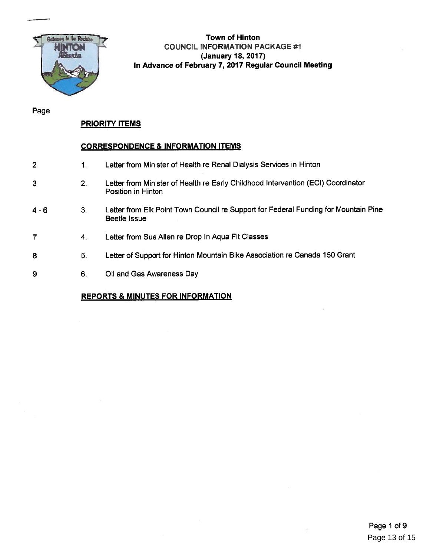

# Town of Hinton COUNCIL INFORMATION PACKAGE #1 (January 18, 2017) In Advance of February 7, 2017 Regular Council Meeting

Page

### PRIORITY ITEMS

#### CORRESPONDENCE & INFORMATION ITEMS

- 2 1. Letter from Minister of Health re Renal Dialysis Services in Hinton
- 3 2. Letter from Minister of Health re Early Childhood Intervention (ECI) Coordinator Position in Hinton
- 4 6 3. Letter from Elk Point Town Council re Support for Federal Funding for Mountain Pine Beetle Issue
- 7 4. Letter from Sue Allen re Drop In Aqua Fit Classes
- 8 5. Letter of Support for Hinton Mountain Bike Association re Canada 150 Grant
- 9 6. Oil and Gas Awareness Day

#### REPORTS & MINUTES FOR INFORMATION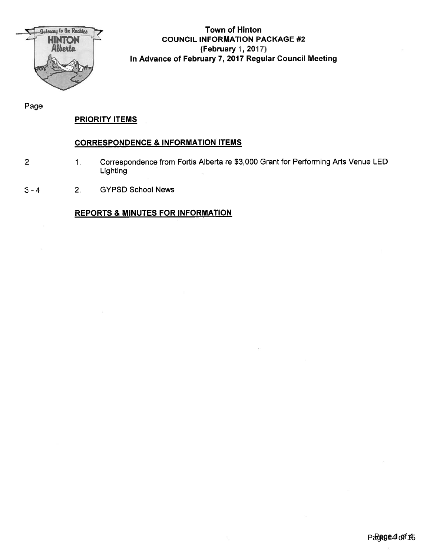

# Town of Hinton COUNCIL INFORMATION PACKAGE #2 tFebruary 1, 2017) In Advance of February 7, 2017 Regular Council Meeting

Page

# PRIORITY ITEMS

### CORRESPONDENCE & INFORMATION ITEMS

2

1. Correspondence from Fortis Alberta re \$3,000 Grant for Performing Arts Venue LED Lighting

3-4 2. GYPSD School News

# REPORTS & MINUTES FOR INFORMATION